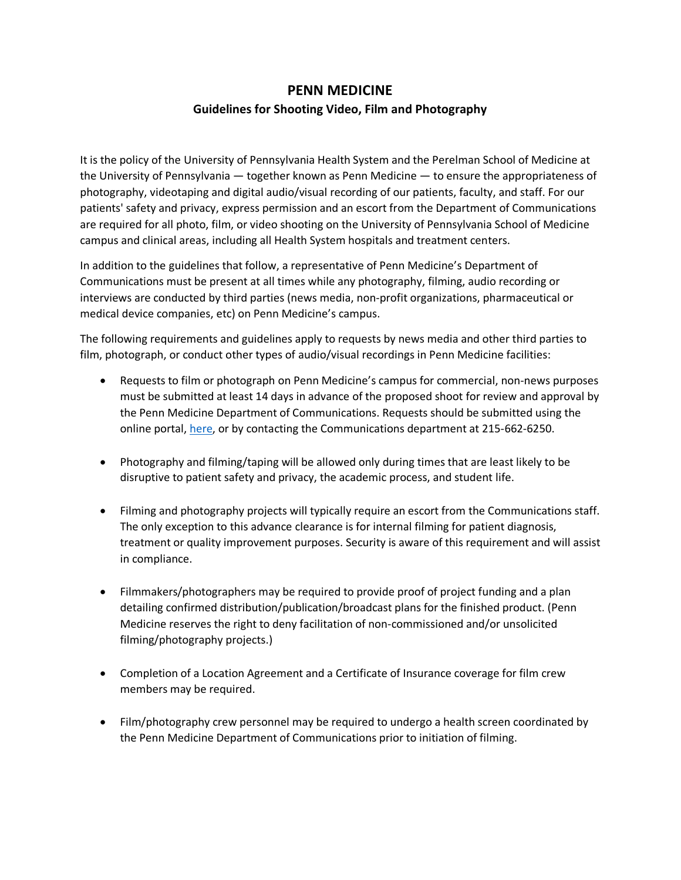## **PENN MEDICINE**

## **Guidelines for Shooting Video, Film and Photography**

It is the policy of the University of Pennsylvania Health System and the Perelman School of Medicine at the University of Pennsylvania — together known as Penn Medicine — to ensure the appropriateness of photography, videotaping and digital audio/visual recording of our patients, faculty, and staff. For our patients' safety and privacy, express permission and an escort from the Department of Communications are required for all photo, film, or video shooting on the University of Pennsylvania School of Medicine campus and clinical areas, including all Health System hospitals and treatment centers.

In addition to the guidelines that follow, a representative of Penn Medicine's Department of Communications must be present at all times while any photography, filming, audio recording or interviews are conducted by third parties (news media, non-profit organizations, pharmaceutical or medical device companies, etc) on Penn Medicine's campus.

The following requirements and guidelines apply to requests by news media and other third parties to film, photograph, or conduct other types of audio/visual recordings in Penn Medicine facilities:

- Requests to film or photograph on Penn Medicine's campus for commercial, non-news purposes must be submitted at least 14 days in advance of the proposed shoot for review and approval by the Penn Medicine Department of Communications. Requests should be submitted using the online portal, here, or by contacting the Communications department at 215-662-6250.
- Photography and filming/taping will be allowed only during times that are least likely to be disruptive to patient safety and privacy, the academic process, and student life.
- Filming and photography projects will typically require an escort from the Communications staff. The only exception to this advance clearance is for internal filming for patient diagnosis, treatment or quality improvement purposes. Security is aware of this requirement and will assist in compliance.
- Filmmakers/photographers may be required to provide proof of project funding and a plan detailing confirmed distribution/publication/broadcast plans for the finished product. (Penn Medicine reserves the right to deny facilitation of non-commissioned and/or unsolicited filming/photography projects.)
- Completion of a Location Agreement and a Certificate of Insurance coverage for film crew members may be required.
- Film/photography crew personnel may be required to undergo a health screen coordinated by the Penn Medicine Department of Communications prior to initiation of filming.